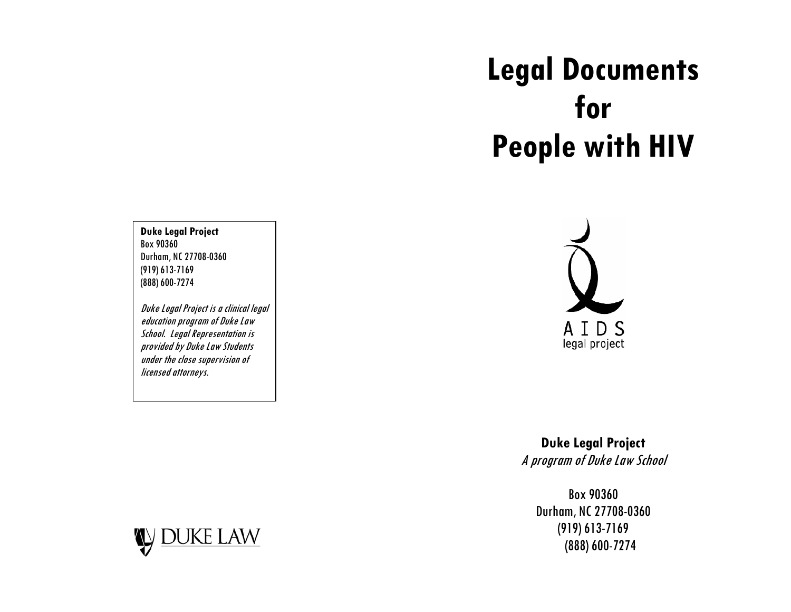# **Legal Documents for People with HIV**

**Duke Legal Project**  Box 90360 Durham, NC 27708-0360 (919) 613-7169 (888) 600-7274

Duke Legal Project is a clinical legal education program of Duke Law School. Legal Representation is provided by Duke Law Students under the close supervision of licensed attorneys.



**Duke Legal Project**  A program of Duke Law School

Box 90360 Durham, NC 27708-0360 (919) 613-7169 (888) 600-7274

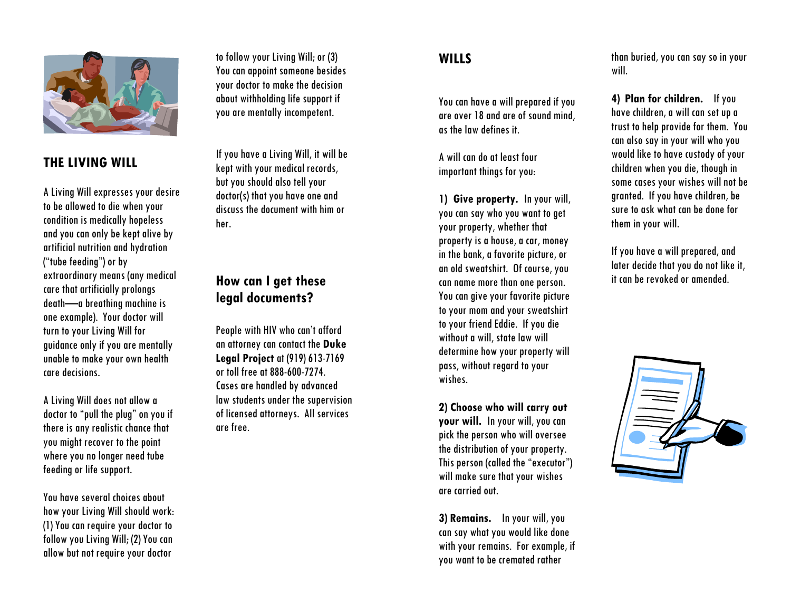

#### **THE LIVING WILL**

A Living Will expresses your desire to be allowed to die when your condition is medically hopeless and you can only be kept alive by artificial nutrition and hydration ("tube feeding") or by extraordinary means (any medical care that artificially prolongs death—a breathing machine is one example). Your doctor will turn to your Living Will for guidance only if you are mentally unable to make your own health care decisions.

A Living Will does not allow a doctor to "pull the plug" on you if there is any realistic chance that you might recover to the point where you no longer need tube feeding or life support.

You have several choices about how your Living Will should work: (1) You can require your doctor to follow you Living Will; (2) You can allow but not require your doctor

to follow your Living Will; or (3) You can appoint someone besides your doctor to make the decision about withholding life support if you are mentally incompetent.

If you have a Living Will, it will be kept with your medical records, but you should also tell your doctor(s) that you have one and discuss the document with him or her.

# **How can I get these legal documents?**

People with HIV who can't afford an attorney can contact the **Duke Legal Project** at (919) 613-7169 or toll free at 888-600-7274. Cases are handled by advanced law students under the supervision of licensed attorneys. All services are free.

### **WILLS**

You can have a will prepared if you are over 18 and are of sound mind, as the law defines it.

A will can do at least four important things for you:

**1) Give property.** In your will, you can say who you want to get your property, whether that property is a house, a car, money in the bank, a favorite picture, or an old sweatshirt. Of course, you can name more than one person. You can give your favorite picture to your mom and your sweatshirt to your friend Eddie. If you die without a will, state law will determine how your property will pass, without regard to your wishes.

**2) Choose who will carry out your will.** In your will, you can pick the person who will oversee the distribution of your property. This person (called the "executor") will make sure that your wishes are carried out.

**3) Remains.** In your will, you can say what you would like done with your remains. For example, if you want to be cremated rather

than buried, you can say so in your will.

**4) Plan for children.** If you have children, a will can set up a trust to help provide for them. You can also say in your will who you would like to have custody of your children when you die, though in some cases your wishes will not be granted. If you have children, be sure to ask what can be done for them in your will.

If you have a will prepared, and later decide that you do not like it, it can be revoked or amended.